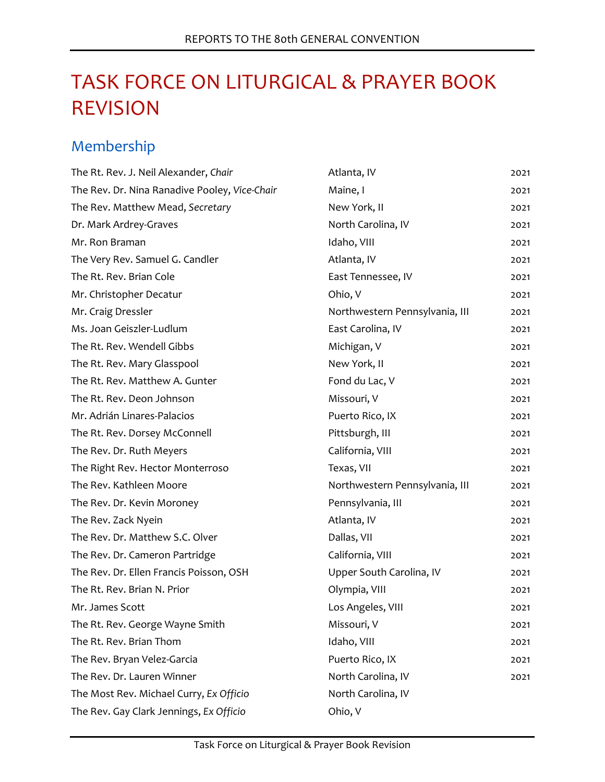# TASK FORCE ON LITURGICAL & PRAYER BOOK REVISION

# Membership

| The Rt. Rev. J. Neil Alexander, Chair         | Atlanta, IV                    | 2021 |
|-----------------------------------------------|--------------------------------|------|
| The Rev. Dr. Nina Ranadive Pooley, Vice-Chair | Maine, I                       | 2021 |
| The Rev. Matthew Mead, Secretary              | New York, II                   | 2021 |
| Dr. Mark Ardrey-Graves                        | North Carolina, IV             | 2021 |
| Mr. Ron Braman                                | Idaho, VIII                    | 2021 |
| The Very Rev. Samuel G. Candler               | Atlanta, IV                    | 2021 |
| The Rt. Rev. Brian Cole                       | East Tennessee, IV             | 2021 |
| Mr. Christopher Decatur                       | Ohio, V                        | 2021 |
| Mr. Craig Dressler                            | Northwestern Pennsylvania, III | 2021 |
| Ms. Joan Geiszler-Ludlum                      | East Carolina, IV              | 2021 |
| The Rt. Rev. Wendell Gibbs                    | Michigan, V                    | 2021 |
| The Rt. Rev. Mary Glasspool                   | New York, II                   | 2021 |
| The Rt. Rev. Matthew A. Gunter                | Fond du Lac, V                 | 2021 |
| The Rt. Rev. Deon Johnson                     | Missouri, V                    | 2021 |
| Mr. Adrián Linares-Palacios                   | Puerto Rico, IX                | 2021 |
| The Rt. Rev. Dorsey McConnell                 | Pittsburgh, III                | 2021 |
| The Rev. Dr. Ruth Meyers                      | California, VIII               | 2021 |
| The Right Rev. Hector Monterroso              | Texas, VII                     | 2021 |
| The Rev. Kathleen Moore                       | Northwestern Pennsylvania, III | 2021 |
| The Rev. Dr. Kevin Moroney                    | Pennsylvania, III              | 2021 |
| The Rev. Zack Nyein                           | Atlanta, IV                    | 2021 |
| The Rev. Dr. Matthew S.C. Olver               | Dallas, VII                    | 2021 |
| The Rev. Dr. Cameron Partridge                | California, VIII               | 2021 |
| The Rev. Dr. Ellen Francis Poisson, OSH       | Upper South Carolina, IV       | 2021 |
| The Rt. Rev. Brian N. Prior                   | Olympia, VIII                  | 2021 |
| Mr. James Scott                               | Los Angeles, VIII              | 2021 |
| The Rt. Rev. George Wayne Smith               | Missouri, V                    | 2021 |
| The Rt. Rev. Brian Thom                       | Idaho, VIII                    | 2021 |
| The Rev. Bryan Velez-Garcia                   | Puerto Rico, IX                | 2021 |
| The Rev. Dr. Lauren Winner                    | North Carolina, IV             | 2021 |
| The Most Rev. Michael Curry, Ex Officio       | North Carolina, IV             |      |
| The Rev. Gay Clark Jennings, Ex Officio       | Ohio, V                        |      |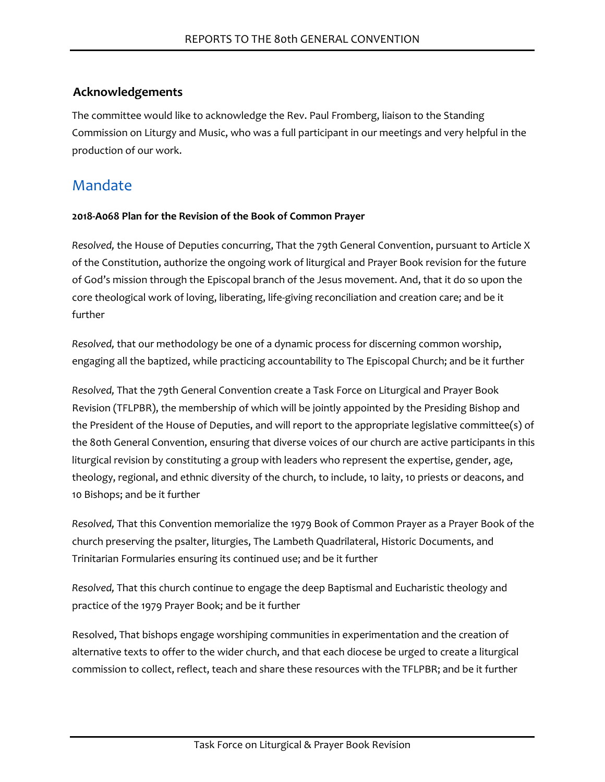# **Acknowledgements**

The committee would like to acknowledge the Rev. Paul Fromberg, liaison to the Standing Commission on Liturgy and Music, who was a full participant in our meetings and very helpful in the production of our work.

# Mandate

#### **2018-A068 Plan for the Revision of the Book of Common Prayer**

*Resolved,* the House of Deputies concurring, That the 79th General Convention, pursuant to Article X of the Constitution, authorize the ongoing work of liturgical and Prayer Book revision for the future of God's mission through the Episcopal branch of the Jesus movement. And, that it do so upon the core theological work of loving, liberating, life-giving reconciliation and creation care; and be it further

*Resolved,* that our methodology be one of a dynamic process for discerning common worship, engaging all the baptized, while practicing accountability to The Episcopal Church; and be it further

*Resolved,* That the 79th General Convention create a Task Force on Liturgical and Prayer Book Revision (TFLPBR), the membership of which will be jointly appointed by the Presiding Bishop and the President of the House of Deputies, and will report to the appropriate legislative committee(s) of the 80th General Convention, ensuring that diverse voices of our church are active participants in this liturgical revision by constituting a group with leaders who represent the expertise, gender, age, theology, regional, and ethnic diversity of the church, to include, 10 laity, 10 priests or deacons, and 10 Bishops; and be it further

*Resolved,* That this Convention memorialize the 1979 Book of Common Prayer as a Prayer Book of the church preserving the psalter, liturgies, The Lambeth Quadrilateral, Historic Documents, and Trinitarian Formularies ensuring its continued use; and be it further

*Resolved,* That this church continue to engage the deep Baptismal and Eucharistic theology and practice of the 1979 Prayer Book; and be it further

Resolved, That bishops engage worshiping communities in experimentation and the creation of alternative texts to offer to the wider church, and that each diocese be urged to create a liturgical commission to collect, reflect, teach and share these resources with the TFLPBR; and be it further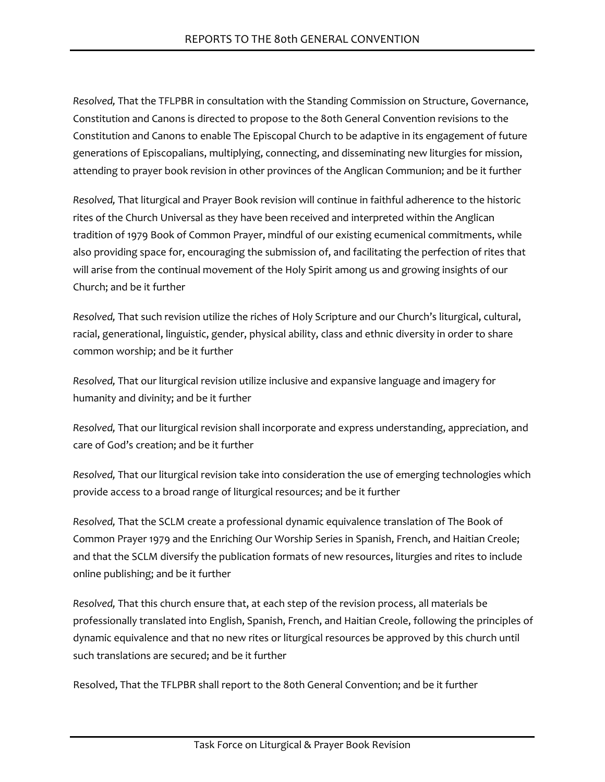*Resolved,* That the TFLPBR in consultation with the Standing Commission on Structure, Governance, Constitution and Canons is directed to propose to the 80th General Convention revisions to the Constitution and Canons to enable The Episcopal Church to be adaptive in its engagement of future generations of Episcopalians, multiplying, connecting, and disseminating new liturgies for mission, attending to prayer book revision in other provinces of the Anglican Communion; and be it further

*Resolved,* That liturgical and Prayer Book revision will continue in faithful adherence to the historic rites of the Church Universal as they have been received and interpreted within the Anglican tradition of 1979 Book of Common Prayer, mindful of our existing ecumenical commitments, while also providing space for, encouraging the submission of, and facilitating the perfection of rites that will arise from the continual movement of the Holy Spirit among us and growing insights of our Church; and be it further

*Resolved,* That such revision utilize the riches of Holy Scripture and our Church's liturgical, cultural, racial, generational, linguistic, gender, physical ability, class and ethnic diversity in order to share common worship; and be it further

*Resolved,* That our liturgical revision utilize inclusive and expansive language and imagery for humanity and divinity; and be it further

*Resolved,* That our liturgical revision shall incorporate and express understanding, appreciation, and care of God's creation; and be it further

*Resolved,* That our liturgical revision take into consideration the use of emerging technologies which provide access to a broad range of liturgical resources; and be it further

*Resolved,* That the SCLM create a professional dynamic equivalence translation of The Book of Common Prayer 1979 and the Enriching Our Worship Series in Spanish, French, and Haitian Creole; and that the SCLM diversify the publication formats of new resources, liturgies and rites to include online publishing; and be it further

*Resolved,* That this church ensure that, at each step of the revision process, all materials be professionally translated into English, Spanish, French, and Haitian Creole, following the principles of dynamic equivalence and that no new rites or liturgical resources be approved by this church until such translations are secured; and be it further

Resolved, That the TFLPBR shall report to the 80th General Convention; and be it further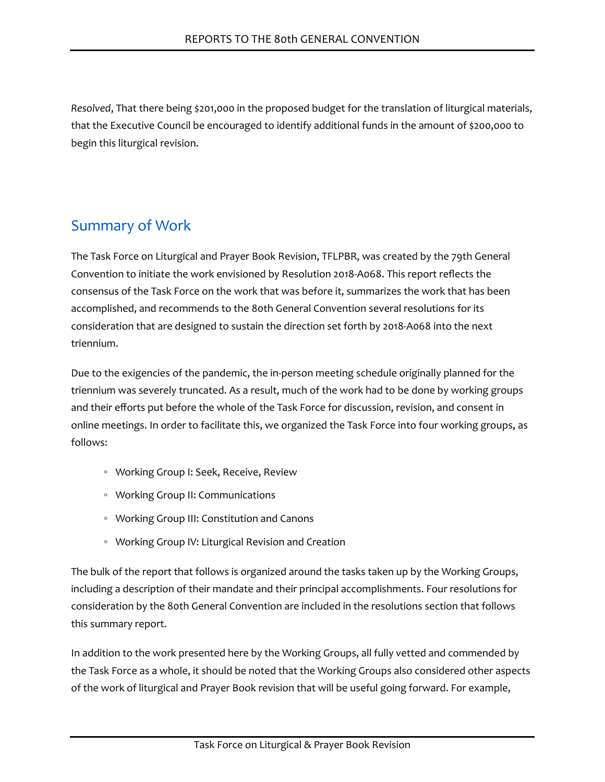*Resolved*, That there being \$201,000 in the proposed budget for the translation of liturgical materials, that the Executive Council be encouraged to identify additional funds in the amount of \$200,000 to begin this liturgical revision.

# Summary of Work

The Task Force on Liturgical and Prayer Book Revision, TFLPBR, was created by the 79th General Convention to initiate the work envisioned by Resolution 2018-A068. This report reflects the consensus of the Task Force on the work that was before it, summarizes the work that has been accomplished, and recommends to the 80th General Convention several resolutions for its consideration that are designed to sustain the direction set forth by 2018-A068 into the next triennium.

Due to the exigencies of the pandemic, the in-person meeting schedule originally planned for the triennium was severely truncated. As a result, much of the work had to be done by working groups and their efforts put before the whole of the Task Force for discussion, revision, and consent in online meetings. In order to facilitate this, we organized the Task Force into four working groups, as follows:

- Working Group I: Seek, Receive, Review
- Working Group II: Communications
- Working Group III: Constitution and Canons
- Working Group IV: Liturgical Revision and Creation

The bulk of the report that follows is organized around the tasks taken up by the Working Groups, including a description of their mandate and their principal accomplishments. Four resolutions for consideration by the 80th General Convention are included in the resolutions section that follows this summary report.

In addition to the work presented here by the Working Groups, all fully vetted and commended by the Task Force as a whole, it should be noted that the Working Groups also considered other aspects of the work of liturgical and Prayer Book revision that will be useful going forward. For example,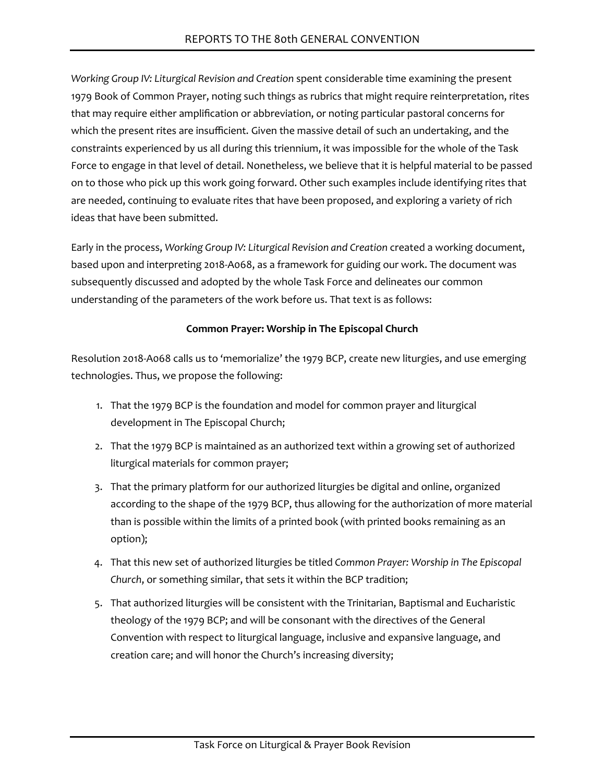*Working Group IV: Liturgical Revision and Creation* spent considerable time examining the present 1979 Book of Common Prayer, noting such things as rubrics that might require reinterpretation, rites that may require either amplification or abbreviation, or noting particular pastoral concerns for which the present rites are insufficient. Given the massive detail of such an undertaking, and the constraints experienced by us all during this triennium, it was impossible for the whole of the Task Force to engage in that level of detail. Nonetheless, we believe that it is helpful material to be passed on to those who pick up this work going forward. Other such examples include identifying rites that are needed, continuing to evaluate rites that have been proposed, and exploring a variety of rich ideas that have been submitted.

Early in the process, *Working Group IV: Liturgical Revision and Creation* created a working document, based upon and interpreting 2018-A068, as a framework for guiding our work. The document was subsequently discussed and adopted by the whole Task Force and delineates our common understanding of the parameters of the work before us. That text is as follows:

#### **Common Prayer: Worship in The Episcopal Church**

Resolution 2018-A068 calls us to 'memorialize' the 1979 BCP, create new liturgies, and use emerging technologies. Thus, we propose the following:

- 1. That the 1979 BCP is the foundation and model for common prayer and liturgical development in The Episcopal Church;
- 2. That the 1979 BCP is maintained as an authorized text within a growing set of authorized liturgical materials for common prayer;
- 3. That the primary platform for our authorized liturgies be digital and online, organized according to the shape of the 1979 BCP, thus allowing for the authorization of more material than is possible within the limits of a printed book (with printed books remaining as an option);
- 4. That this new set of authorized liturgies be titled *Common Prayer: Worship in The Episcopal Church*, or something similar, that sets it within the BCP tradition;
- 5. That authorized liturgies will be consistent with the Trinitarian, Baptismal and Eucharistic theology of the 1979 BCP; and will be consonant with the directives of the General Convention with respect to liturgical language, inclusive and expansive language, and creation care; and will honor the Church's increasing diversity;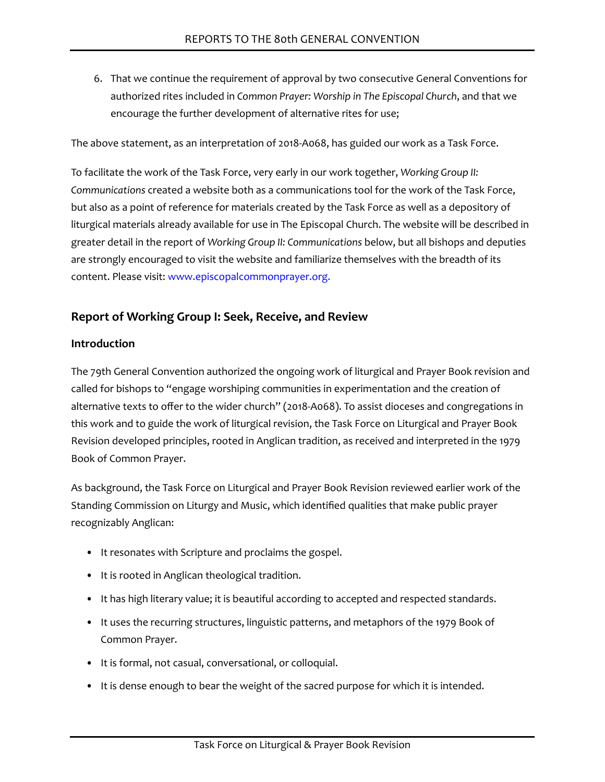6. That we continue the requirement of approval by two consecutive General Conventions for authorized rites included in *Common Prayer: Worship in The Episcopal Church*, and that we encourage the further development of alternative rites for use;

The above statement, as an interpretation of 2018-A068, has guided our work as a Task Force.

To facilitate the work of the Task Force, very early in our work together, *Working Group II: Communications* created a website both as a communications tool for the work of the Task Force, but also as a point of reference for materials created by the Task Force as well as a depository of liturgical materials already available for use in The Episcopal Church. The website will be described in greater detail in the report of *Working Group II: Communications* below, but all bishops and deputies are strongly encouraged to visit the website and familiarize themselves with the breadth of its content. Please visit: [www.episcopalcommonprayer.org.](www.episcopalcommonprayer.org)

# **Report of Working Group I: Seek, Receive, and Review**

#### **Introduction**

The 79th General Convention authorized the ongoing work of liturgical and Prayer Book revision and called for bishops to "engage worshiping communities in experimentation and the creation of alternative texts to offer to the wider church" (2018-A068). To assist dioceses and congregations in this work and to guide the work of liturgical revision, the Task Force on Liturgical and Prayer Book Revision developed principles, rooted in Anglican tradition, as received and interpreted in the 1979 Book of Common Prayer.

As background, the Task Force on Liturgical and Prayer Book Revision reviewed earlier work of the Standing Commission on Liturgy and Music, which identified qualities that make public prayer recognizably Anglican:

- It resonates with Scripture and proclaims the gospel.
- It is rooted in Anglican theological tradition.
- It has high literary value; it is beautiful according to accepted and respected standards.
- It uses the recurring structures, linguistic patterns, and metaphors of the 1979 Book of Common Prayer.
- It is formal, not casual, conversational, or colloquial.
- It is dense enough to bear the weight of the sacred purpose for which it is intended.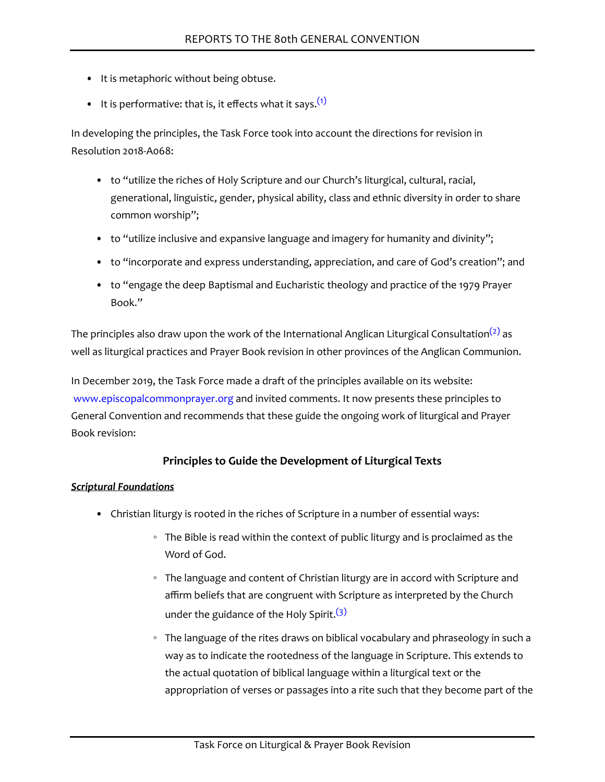- It is metaphoric without being obtuse.
- It is performative: that is, it effects what it says.  $(1)$

<span id="page-6-0"></span>In developing the principles, the Task Force took into account the directions for revision in Resolution 2018-A068:

- to "utilize the riches of Holy Scripture and our Church's liturgical, cultural, racial, generational, linguistic, gender, physical ability, class and ethnic diversity in order to share common worship";
- to "utilize inclusive and expansive language and imagery for humanity and divinity";
- to "incorporate and express understanding, appreciation, and care of God's creation"; and
- to "engage the deep Baptismal and Eucharistic theology and practice of the 1979 Prayer Book."

<span id="page-6-1"></span>The principles also draw upon the work of the International Anglican Liturgical Consultation<sup>[\(2\)](#page-24-1)</sup> as well as liturgical practices and Prayer Book revision in other provinces of the Anglican Communion.

In December 2019, the Task Force made a draft of the principles available on its website: [www.episcopalcommonprayer.org](http://www.episcopalcommonprayer.org/) and invited comments. It now presents these principles to General Convention and recommends that these guide the ongoing work of liturgical and Prayer Book revision:

# **Principles to Guide the Development of Liturgical Texts**

#### *Scriptural Foundations*

- <span id="page-6-2"></span>• Christian liturgy is rooted in the riches of Scripture in a number of essential ways:
	- The Bible is read within the context of public liturgy and is proclaimed as the Word of God.
	- The language and content of Christian liturgy are in accord with Scripture and affirm beliefs that are congruent with Scripture as interpreted by the Church under the guidance of the Holy Spirit.  $(3)$
	- The language of the rites draws on biblical vocabulary and phraseology in such a way as to indicate the rootedness of the language in Scripture. This extends to the actual quotation of biblical language within a liturgical text or the appropriation of verses or passages into a rite such that they become part of the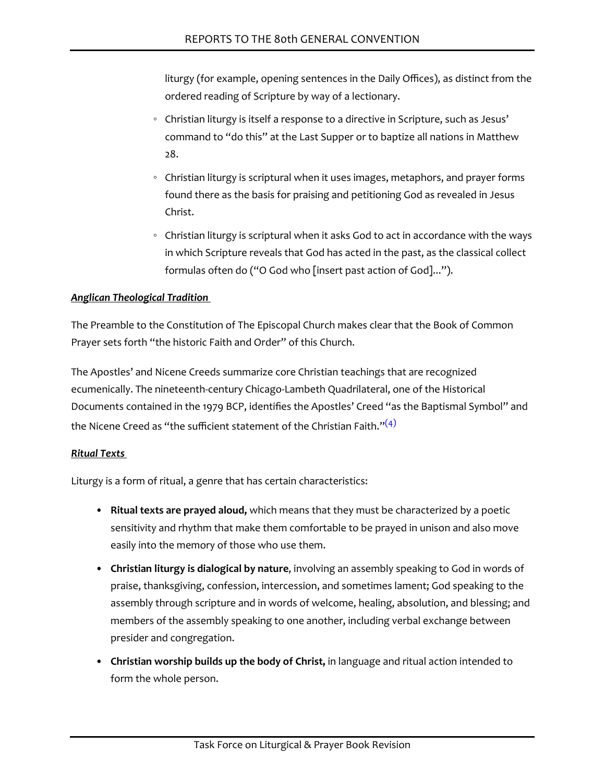liturgy (for example, opening sentences in the Daily Offices), as distinct from the ordered reading of Scripture by way of a lectionary.

- Christian liturgy is itself a response to a directive in Scripture, such as Jesus' command to "do this" at the Last Supper or to baptize all nations in Matthew 28.
- Christian liturgy is scriptural when it uses images, metaphors, and prayer forms found there as the basis for praising and petitioning God as revealed in Jesus Christ.
- Christian liturgy is scriptural when it asks God to act in accordance with the ways in which Scripture reveals that God has acted in the past, as the classical collect formulas often do ("O God who [insert past action of God]...").

#### *Anglican Theological Tradition*

The Preamble to the Constitution of The Episcopal Church makes clear that the Book of Common Prayer sets forth "the historic Faith and Order" of this Church.

The Apostles' and Nicene Creeds summarize core Christian teachings that are recognized ecumenically. The nineteenth-century Chicago-Lambeth Quadrilateral, one of the Historical Documents contained in the 1979 BCP, identifies the Apostles' Creed "as the Baptismal Symbol" and the Nicene Creed as "the sufficient statement of the Christian Faith." $(4)$ 

# <span id="page-7-0"></span>*Ritual Texts*

Liturgy is a form of ritual, a genre that has certain characteristics:

- **Ritual texts are prayed aloud,** which means that they must be characterized by a poetic sensitivity and rhythm that make them comfortable to be prayed in unison and also move easily into the memory of those who use them.
- **Christian liturgy is dialogical by nature**, involving an assembly speaking to God in words of praise, thanksgiving, confession, intercession, and sometimes lament; God speaking to the assembly through scripture and in words of welcome, healing, absolution, and blessing; and members of the assembly speaking to one another, including verbal exchange between presider and congregation.
- **Christian worship builds up the body of Christ,** in language and ritual action intended to form the whole person.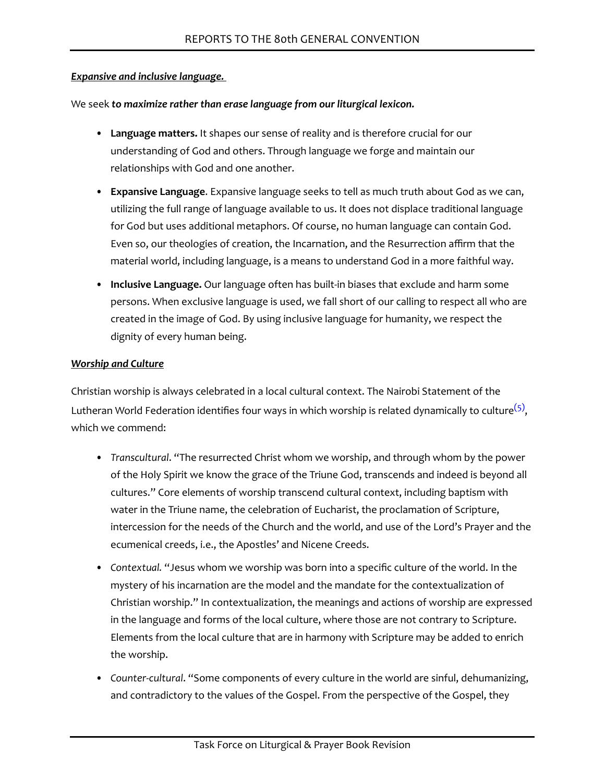#### *Expansive and inclusive language.*

We seek *to maximize rather than erase language from our liturgical lexicon.*

- **Language matters.** It shapes our sense of reality and is therefore crucial for our understanding of God and others. Through language we forge and maintain our relationships with God and one another.
- **Expansive Language**. Expansive language seeks to tell as much truth about God as we can, utilizing the full range of language available to us. It does not displace traditional language for God but uses additional metaphors. Of course, no human language can contain God. Even so, our theologies of creation, the Incarnation, and the Resurrection affirm that the material world, including language, is a means to understand God in a more faithful way.
- **Inclusive Language.** Our language often has built-in biases that exclude and harm some persons. When exclusive language is used, we fall short of our calling to respect all who are created in the image of God. By using inclusive language for humanity, we respect the dignity of every human being.

#### *Worship and Culture*

<span id="page-8-0"></span>Christian worship is always celebrated in a local cultural context. The Nairobi Statement of the Lutheran World Federation identifies four ways in which worship is related dynamically to culture $^{(5)}$  $^{(5)}$  $^{(5)}$ , which we commend:

- *Transcultural*. "The resurrected Christ whom we worship, and through whom by the power of the Holy Spirit we know the grace of the Triune God, transcends and indeed is beyond all cultures." Core elements of worship transcend cultural context, including baptism with water in the Triune name, the celebration of Eucharist, the proclamation of Scripture, intercession for the needs of the Church and the world, and use of the Lord's Prayer and the ecumenical creeds, i.e., the Apostles' and Nicene Creeds.
- *Contextual.* "Jesus whom we worship was born into a specific culture of the world. In the mystery of his incarnation are the model and the mandate for the contextualization of Christian worship." In contextualization, the meanings and actions of worship are expressed in the language and forms of the local culture, where those are not contrary to Scripture. Elements from the local culture that are in harmony with Scripture may be added to enrich the worship.
- *Counter-cultural*. "Some components of every culture in the world are sinful, dehumanizing, and contradictory to the values of the Gospel. From the perspective of the Gospel, they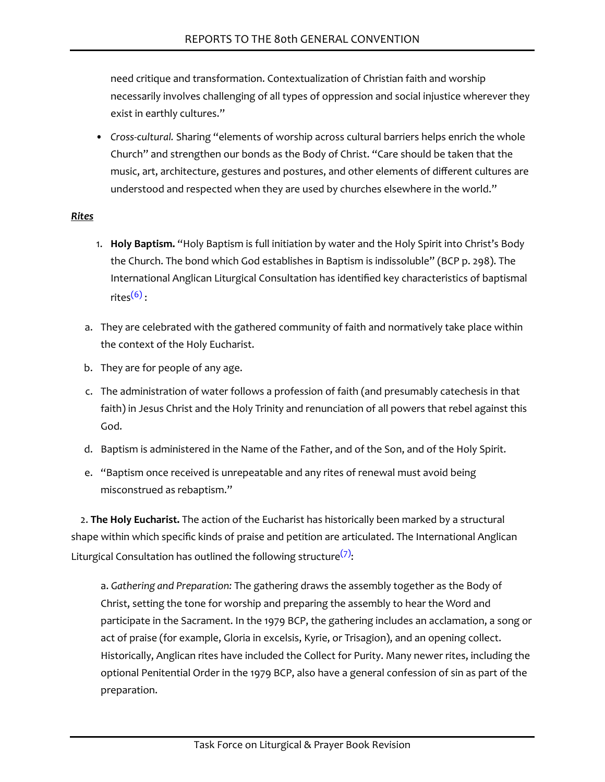need critique and transformation. Contextualization of Christian faith and worship necessarily involves challenging of all types of oppression and social injustice wherever they exist in earthly cultures."

• *Cross-cultural.* Sharing "elements of worship across cultural barriers helps enrich the whole Church" and strengthen our bonds as the Body of Christ. "Care should be taken that the music, art, architecture, gestures and postures, and other elements of different cultures are understood and respected when they are used by churches elsewhere in the world."

#### *Rites*

- 1. **Holy Baptism.** "Holy Baptism is full initiation by water and the Holy Spirit into Christ's Body the Church. The bond which God establishes in Baptism is indissoluble" (BCP p. 298). The International Anglican Liturgical Consultation has identified key characteristics of baptismal rites $(6)$ .
- <span id="page-9-0"></span>a. They are celebrated with the gathered community of faith and normatively take place within the context of the Holy Eucharist.
- b. They are for people of any age.
- c. The administration of water follows a profession of faith (and presumably catechesis in that faith) in Jesus Christ and the Holy Trinity and renunciation of all powers that rebel against this God.
- d. Baptism is administered in the Name of the Father, and of the Son, and of the Holy Spirit.
- e. "Baptism once received is unrepeatable and any rites of renewal must avoid being misconstrued as rebaptism."

<span id="page-9-1"></span>2. **The Holy Eucharist.** The action of the Eucharist has historically been marked by a structural shape within which specific kinds of praise and petition are articulated. The International Anglican Liturgical Consultation has outlined the following structure $(7)$ :

a. *Gathering and Preparation:* The gathering draws the assembly together as the Body of Christ, setting the tone for worship and preparing the assembly to hear the Word and participate in the Sacrament. In the 1979 BCP, the gathering includes an acclamation, a song or act of praise (for example, Gloria in excelsis, Kyrie, or Trisagion), and an opening collect. Historically, Anglican rites have included the Collect for Purity. Many newer rites, including the optional Penitential Order in the 1979 BCP, also have a general confession of sin as part of the preparation.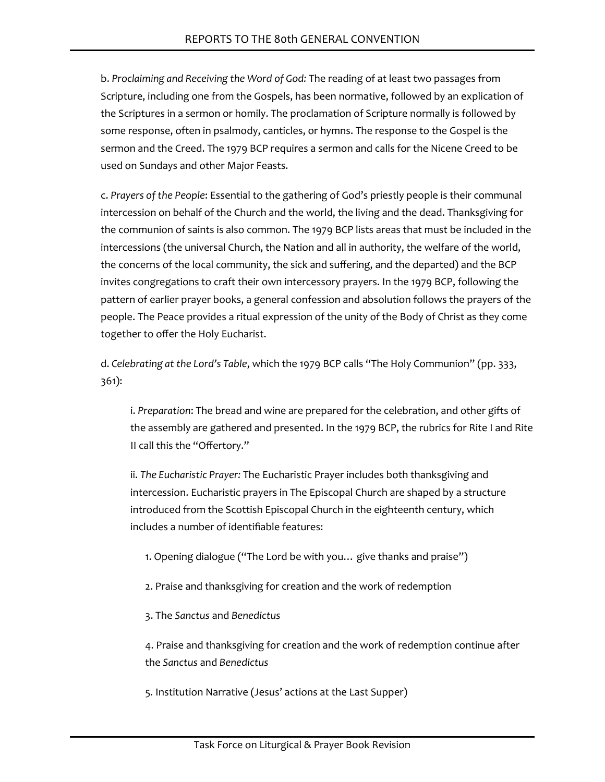b. *Proclaiming and Receiving the Word of God:* The reading of at least two passages from Scripture, including one from the Gospels, has been normative, followed by an explication of the Scriptures in a sermon or homily. The proclamation of Scripture normally is followed by some response, often in psalmody, canticles, or hymns. The response to the Gospel is the sermon and the Creed. The 1979 BCP requires a sermon and calls for the Nicene Creed to be used on Sundays and other Major Feasts.

c. *Prayers of the People*: Essential to the gathering of God's priestly people is their communal intercession on behalf of the Church and the world, the living and the dead. Thanksgiving for the communion of saints is also common. The 1979 BCP lists areas that must be included in the intercessions (the universal Church, the Nation and all in authority, the welfare of the world, the concerns of the local community, the sick and suffering, and the departed) and the BCP invites congregations to craft their own intercessory prayers. In the 1979 BCP, following the pattern of earlier prayer books, a general confession and absolution follows the prayers of the people. The Peace provides a ritual expression of the unity of the Body of Christ as they come together to offer the Holy Eucharist.

d. *Celebrating at the Lord's Table*, which the 1979 BCP calls "The Holy Communion" (pp. 333, 361):

i. *Preparation*: The bread and wine are prepared for the celebration, and other gifts of the assembly are gathered and presented. In the 1979 BCP, the rubrics for Rite I and Rite II call this the "Offertory."

ii. *The Eucharistic Prayer:* The Eucharistic Prayer includes both thanksgiving and intercession. Eucharistic prayers in The Episcopal Church are shaped by a structure introduced from the Scottish Episcopal Church in the eighteenth century, which includes a number of identifiable features:

1. Opening dialogue ("The Lord be with you… give thanks and praise")

2. Praise and thanksgiving for creation and the work of redemption

3. The *Sanctus* and *Benedictus*

4. Praise and thanksgiving for creation and the work of redemption continue after the *Sanctus* and *Benedictus*

5*.* Institution Narrative (Jesus' actions at the Last Supper)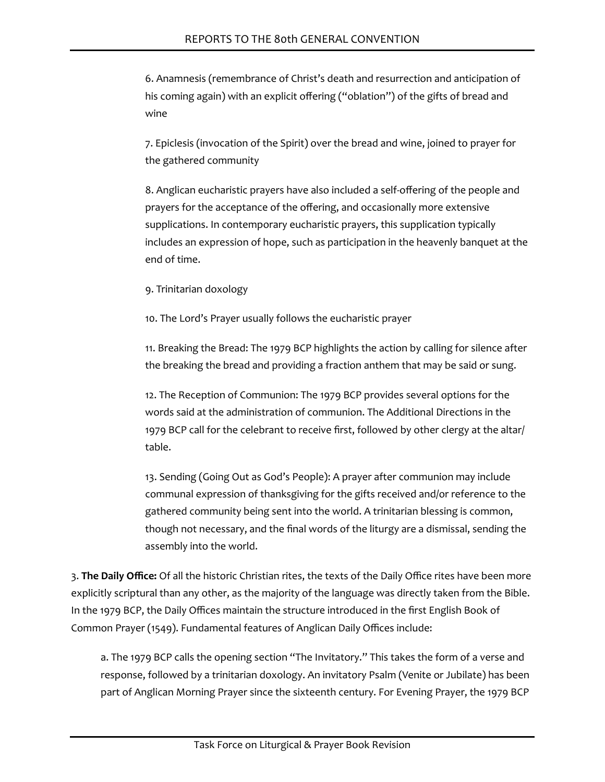6. Anamnesis (remembrance of Christ's death and resurrection and anticipation of his coming again) with an explicit offering ("oblation") of the gifts of bread and wine

7. Epiclesis (invocation of the Spirit) over the bread and wine, joined to prayer for the gathered community

8. Anglican eucharistic prayers have also included a self-offering of the people and prayers for the acceptance of the offering, and occasionally more extensive supplications. In contemporary eucharistic prayers, this supplication typically includes an expression of hope, such as participation in the heavenly banquet at the end of time.

9. Trinitarian doxology

10. The Lord's Prayer usually follows the eucharistic prayer

11. Breaking the Bread: The 1979 BCP highlights the action by calling for silence after the breaking the bread and providing a fraction anthem that may be said or sung.

12. The Reception of Communion: The 1979 BCP provides several options for the words said at the administration of communion. The Additional Directions in the 1979 BCP call for the celebrant to receive first, followed by other clergy at the altar/ table.

13. Sending (Going Out as God's People): A prayer after communion may include communal expression of thanksgiving for the gifts received and/or reference to the gathered community being sent into the world. A trinitarian blessing is common, though not necessary, and the final words of the liturgy are a dismissal, sending the assembly into the world.

3. **The Daily Office:** Of all the historic Christian rites, the texts of the Daily Office rites have been more explicitly scriptural than any other, as the majority of the language was directly taken from the Bible. In the 1979 BCP, the Daily Offices maintain the structure introduced in the first English Book of Common Prayer (1549). Fundamental features of Anglican Daily Offices include:

a. The 1979 BCP calls the opening section "The Invitatory." This takes the form of a verse and response, followed by a trinitarian doxology. An invitatory Psalm (Venite or Jubilate) has been part of Anglican Morning Prayer since the sixteenth century. For Evening Prayer, the 1979 BCP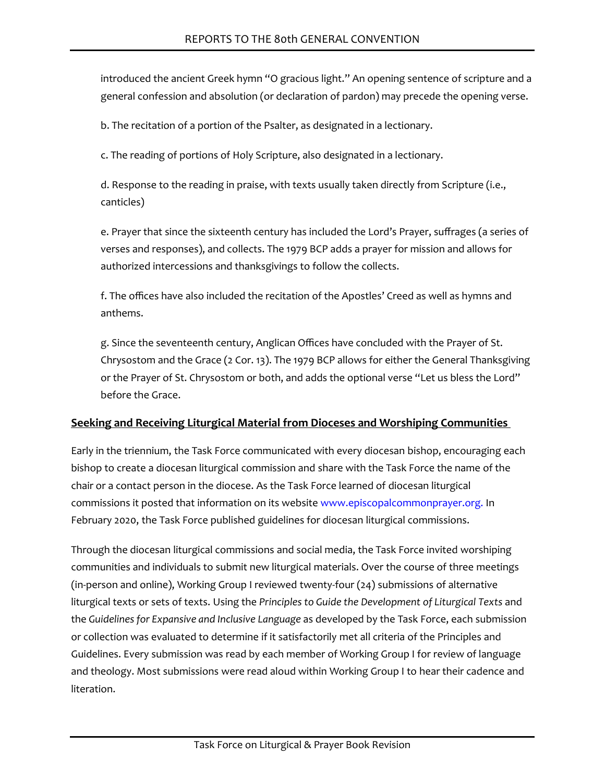introduced the ancient Greek hymn "O gracious light." An opening sentence of scripture and a general confession and absolution (or declaration of pardon) may precede the opening verse.

b. The recitation of a portion of the Psalter, as designated in a lectionary.

c. The reading of portions of Holy Scripture, also designated in a lectionary.

d. Response to the reading in praise, with texts usually taken directly from Scripture (i.e., canticles)

e. Prayer that since the sixteenth century has included the Lord's Prayer, suffrages (a series of verses and responses), and collects. The 1979 BCP adds a prayer for mission and allows for authorized intercessions and thanksgivings to follow the collects.

f. The offices have also included the recitation of the Apostles' Creed as well as hymns and anthems.

g. Since the seventeenth century, Anglican Offices have concluded with the Prayer of St. Chrysostom and the Grace (2 Cor. 13). The 1979 BCP allows for either the General Thanksgiving or the Prayer of St. Chrysostom or both, and adds the optional verse "Let us bless the Lord" before the Grace.

# **Seeking and Receiving Liturgical Material from Dioceses and Worshiping Communities**

Early in the triennium, the Task Force communicated with every diocesan bishop, encouraging each bishop to create a diocesan liturgical commission and share with the Task Force the name of the chair or a contact person in the diocese. As the Task Force learned of diocesan liturgical commissions it posted that information on its website [www.episcopalcommonprayer.org.](http://www.episcopalcommonprayer.org/) In February 2020, the Task Force published guidelines for diocesan liturgical commissions.

Through the diocesan liturgical commissions and social media, the Task Force invited worshiping communities and individuals to submit new liturgical materials. Over the course of three meetings (in-person and online), Working Group I reviewed twenty-four (24) submissions of alternative liturgical texts or sets of texts. Using the *Principles to Guide the Development of Liturgical Texts* and the *Guidelines for Expansive and Inclusive Language* as developed by the Task Force, each submission or collection was evaluated to determine if it satisfactorily met all criteria of the Principles and Guidelines. Every submission was read by each member of Working Group I for review of language and theology. Most submissions were read aloud within Working Group I to hear their cadence and literation.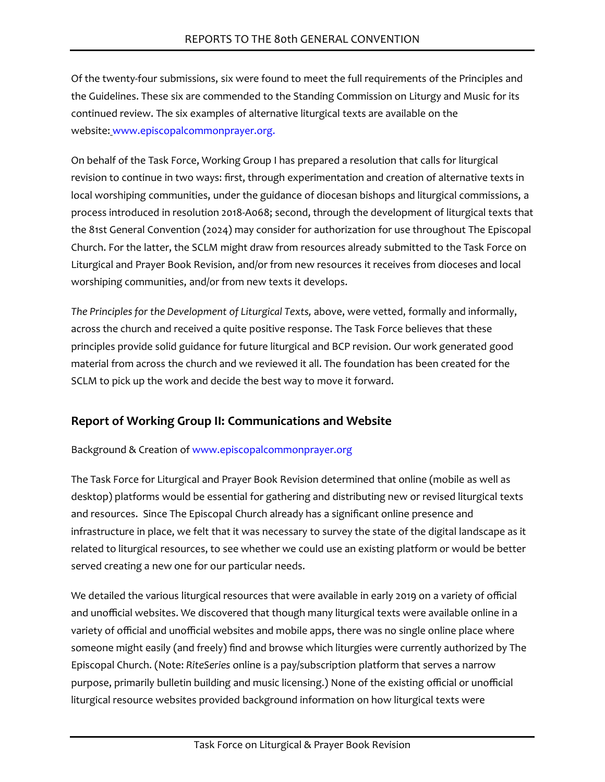Of the twenty-four submissions, six were found to meet the full requirements of the Principles and the Guidelines. These six are commended to the Standing Commission on Liturgy and Music for its continued review. The six examples of alternative liturgical texts are available on the website: [www.episcopalcommonprayer.org.](http://www.episcopalcommonprayer.org/)

On behalf of the Task Force, Working Group I has prepared a resolution that calls for liturgical revision to continue in two ways: first, through experimentation and creation of alternative texts in local worshiping communities, under the guidance of diocesan bishops and liturgical commissions, a process introduced in resolution 2018-A068; second, through the development of liturgical texts that the 81st General Convention (2024) may consider for authorization for use throughout The Episcopal Church. For the latter, the SCLM might draw from resources already submitted to the Task Force on Liturgical and Prayer Book Revision, and/or from new resources it receives from dioceses and local worshiping communities, and/or from new texts it develops.

*The Principles for the Development of Liturgical Texts,* above, were vetted, formally and informally, across the church and received a quite positive response. The Task Force believes that these principles provide solid guidance for future liturgical and BCP revision. Our work generated good material from across the church and we reviewed it all. The foundation has been created for the SCLM to pick up the work and decide the best way to move it forward.

# **Report of Working Group II: Communications and Website**

#### Background & Creation of [www.episcopalcommonprayer.org](http://www.episcopalcommonprayer.org/)

The Task Force for Liturgical and Prayer Book Revision determined that online (mobile as well as desktop) platforms would be essential for gathering and distributing new or revised liturgical texts and resources. Since The Episcopal Church already has a significant online presence and infrastructure in place, we felt that it was necessary to survey the state of the digital landscape as it related to liturgical resources, to see whether we could use an existing platform or would be better served creating a new one for our particular needs.

We detailed the various liturgical resources that were available in early 2019 on a variety of official and unofficial websites. We discovered that though many liturgical texts were available online in a variety of official and unofficial websites and mobile apps, there was no single online place where someone might easily (and freely) find and browse which liturgies were currently authorized by The Episcopal Church. (Note: *RiteSeries* online is a pay/subscription platform that serves a narrow purpose, primarily bulletin building and music licensing.) None of the existing official or unofficial liturgical resource websites provided background information on how liturgical texts were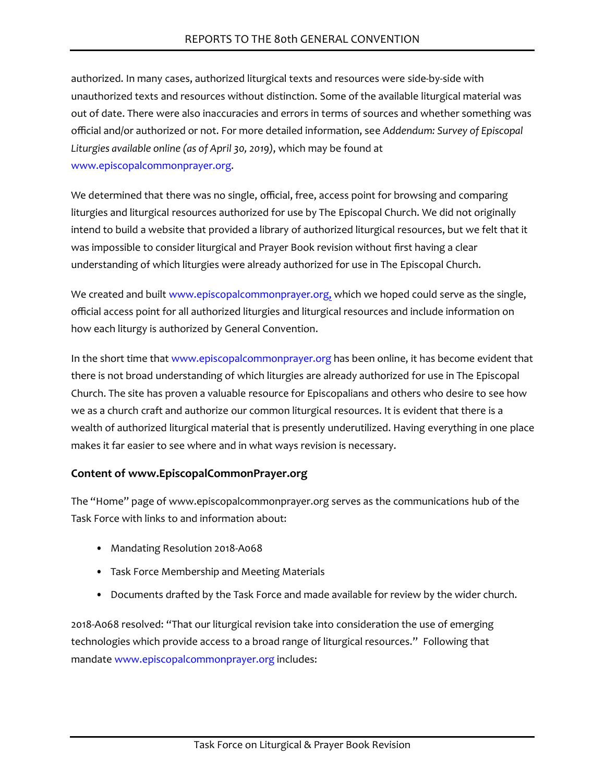authorized. In many cases, authorized liturgical texts and resources were side-by-side with unauthorized texts and resources without distinction. Some of the available liturgical material was out of date. There were also inaccuracies and errors in terms of sources and whether something was official and/or authorized or not. For more detailed information, see *Addendum: Survey of Episcopal Liturgies available online (as of April 30, 2019)*, which may be found at [www.episcopalcommonprayer.org.](http://www.episcopalcommonprayer.org/)

We determined that there was no single, official, free, access point for browsing and comparing liturgies and liturgical resources authorized for use by The Episcopal Church. We did not originally intend to build a website that provided a library of authorized liturgical resources, but we felt that it was impossible to consider liturgical and Prayer Book revision without first having a clear understanding of which liturgies were already authorized for use in The Episcopal Church.

We created and built [www.episcopalcommonprayer.org,](http://www.episcopalcommonprayer.org/) which we hoped could serve as the single, official access point for all authorized liturgies and liturgical resources and include information on how each liturgy is authorized by General Convention.

In the short time that [www.episcopalcommonprayer.org](http://www.episcopalcommonprayer.org/) has been online, it has become evident that there is not broad understanding of which liturgies are already authorized for use in The Episcopal Church. The site has proven a valuable resource for Episcopalians and others who desire to see how we as a church craft and authorize our common liturgical resources. It is evident that there is a wealth of authorized liturgical material that is presently underutilized. Having everything in one place makes it far easier to see where and in what ways revision is necessary.

# **Content of [www.EpiscopalCommonPrayer.org](http://www.episcopalcommonprayer.org/)**

The "Home" page of www.episcopalcommonprayer.org serves as the communications hub of the Task Force with links to and information about:

- Mandating Resolution 2018-A068
- Task Force Membership and Meeting Materials
- Documents drafted by the Task Force and made available for review by the wider church.

2018-A068 resolved: "That our liturgical revision take into consideration the use of emerging technologies which provide access to a broad range of liturgical resources." Following that mandate [www.episcopalcommonprayer.org](http://www.episcopalcommonprayer.org/) includes: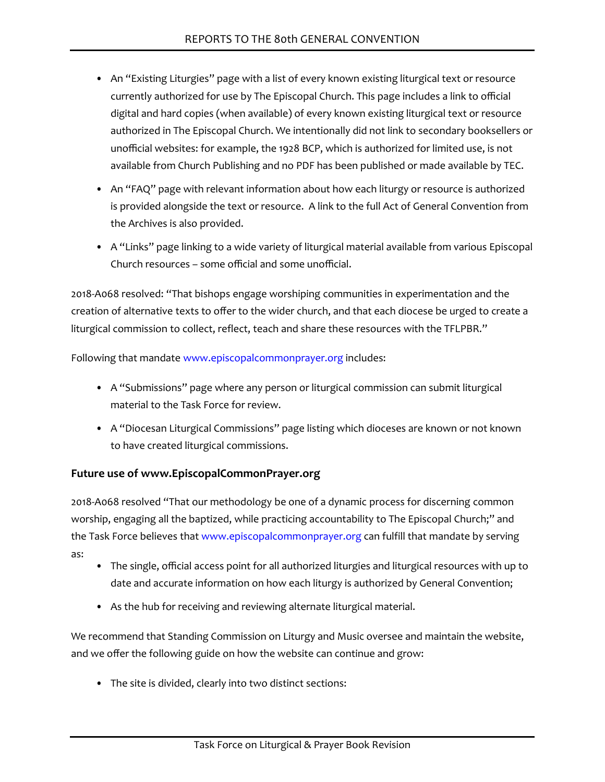- An "Existing Liturgies" page with a list of every known existing liturgical text or resource currently authorized for use by The Episcopal Church. This page includes a link to official digital and hard copies (when available) of every known existing liturgical text or resource authorized in The Episcopal Church. We intentionally did not link to secondary booksellers or unofficial websites: for example, the 1928 BCP, which is authorized for limited use, is not available from Church Publishing and no PDF has been published or made available by TEC.
- An "FAQ" page with relevant information about how each liturgy or resource is authorized is provided alongside the text or resource. A link to the full Act of General Convention from the Archives is also provided.
- A "Links" page linking to a wide variety of liturgical material available from various Episcopal Church resources – some official and some unofficial.

2018-A068 resolved: "That bishops engage worshiping communities in experimentation and the creation of alternative texts to offer to the wider church, and that each diocese be urged to create a liturgical commission to collect, reflect, teach and share these resources with the TFLPBR."

Following that mandate [www.episcopalcommonprayer.org](http://www.episcopalcommonprayer.org/) includes:

- A "Submissions" page where any person or liturgical commission can submit liturgical material to the Task Force for review.
- A "Diocesan Liturgical Commissions" page listing which dioceses are known or not known to have created liturgical commissions.

# **Future use of [www.EpiscopalCommonPrayer.org](http://www.episcopalcommonprayer.org/)**

2018-A068 resolved "That our methodology be one of a dynamic process for discerning common worship, engaging all the baptized, while practicing accountability to The Episcopal Church;" and the Task Force believes that [www.episcopalcommonprayer.org](http://www.episcopalcommonprayer.org/) can fulfill that mandate by serving as:

- The single, official access point for all authorized liturgies and liturgical resources with up to date and accurate information on how each liturgy is authorized by General Convention;
- As the hub for receiving and reviewing alternate liturgical material.

We recommend that Standing Commission on Liturgy and Music oversee and maintain the website, and we offer the following guide on how the website can continue and grow:

• The site is divided, clearly into two distinct sections: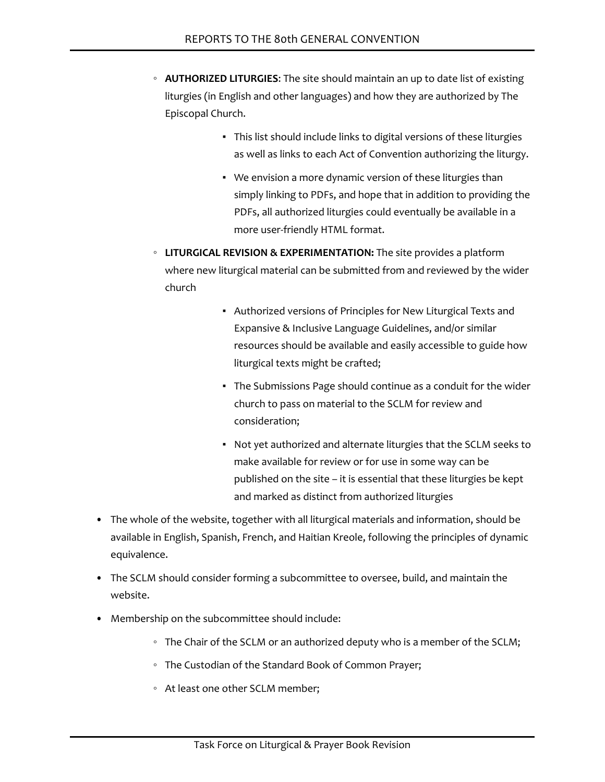- **AUTHORIZED LITURGIES**: The site should maintain an up to date list of existing liturgies (in English and other languages) and how they are authorized by The Episcopal Church.
	- This list should include links to digital versions of these liturgies as well as links to each Act of Convention authorizing the liturgy.
	- We envision a more dynamic version of these liturgies than simply linking to PDFs, and hope that in addition to providing the PDFs, all authorized liturgies could eventually be available in a more user-friendly HTML format.
- **LITURGICAL REVISION & EXPERIMENTATION:** The site provides a platform where new liturgical material can be submitted from and reviewed by the wider church
	- Authorized versions of Principles for New Liturgical Texts and Expansive & Inclusive Language Guidelines, and/or similar resources should be available and easily accessible to guide how liturgical texts might be crafted;
	- The Submissions Page should continue as a conduit for the wider church to pass on material to the SCLM for review and consideration;
	- Not yet authorized and alternate liturgies that the SCLM seeks to make available for review or for use in some way can be published on the site – it is essential that these liturgies be kept and marked as distinct from authorized liturgies
- The whole of the website, together with all liturgical materials and information, should be available in English, Spanish, French, and Haitian Kreole, following the principles of dynamic equivalence.
- The SCLM should consider forming a subcommittee to oversee, build, and maintain the website.
- Membership on the subcommittee should include:
	- The Chair of the SCLM or an authorized deputy who is a member of the SCLM;
	- The Custodian of the Standard Book of Common Prayer;
	- At least one other SCLM member;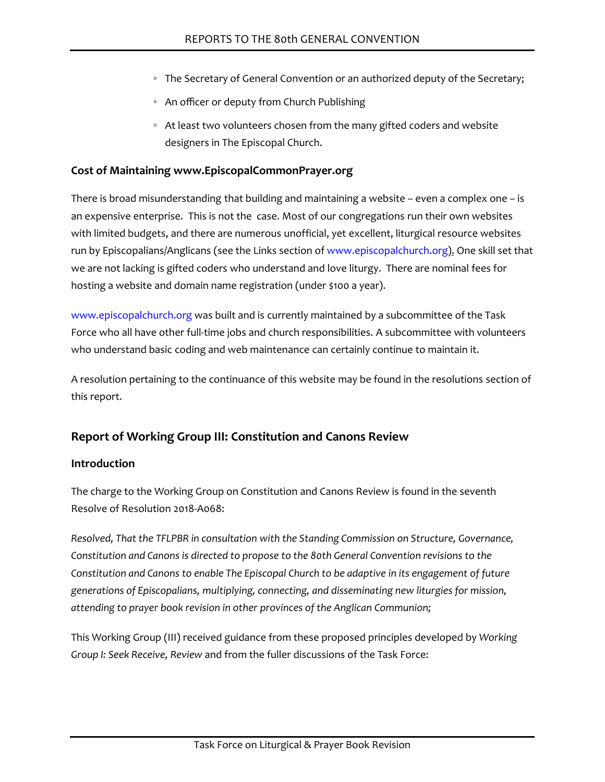- The Secretary of General Convention or an authorized deputy of the Secretary;
- An officer or deputy from Church Publishing
- At least two volunteers chosen from the many gifted coders and website designers in The Episcopal Church.

#### **Cost of Maintaining [www.EpiscopalCommonPrayer.org](http://www.episcopalcommonprayer.org/)**

There is broad misunderstanding that building and maintaining a website – even a complex one – is an expensive enterprise. This is not the case. Most of our congregations run their own websites with limited budgets, and there are numerous unofficial, yet excellent, liturgical resource websites run by Episcopalians/Anglicans (see the Links section of [www.episcopalchurch.org](http://www.episcopalchurch.org/)). One skill set that we are not lacking is gifted coders who understand and love liturgy. There are nominal fees for hosting a website and domain name registration (under \$100 a year).

[www.episcopalchurch.org](http://www.episcopalcommonprayer.org/) was built and is currently maintained by a subcommittee of the Task Force who all have other full-time jobs and church responsibilities. A subcommittee with volunteers who understand basic coding and web maintenance can certainly continue to maintain it.

A resolution pertaining to the continuance of this website may be found in the resolutions section of this report.

# **Report of Working Group III: Constitution and Canons Review**

#### **Introduction**

The charge to the Working Group on Constitution and Canons Review is found in the seventh Resolve of Resolution 2018-A068:

*Resolved, That the TFLPBR in consultation with the Standing Commission on Structure, Governance, Constitution and Canons is directed to propose to the 80th General Convention revisions to the Constitution and Canons to enable The Episcopal Church to be adaptive in its engagement of future generations of Episcopalians, multiplying, connecting, and disseminating new liturgies for mission, attending to prayer book revision in other provinces of the Anglican Communion;*

This Working Group (III) received guidance from these proposed principles developed by *Working Group I: Seek Receive, Review* and from the fuller discussions of the Task Force: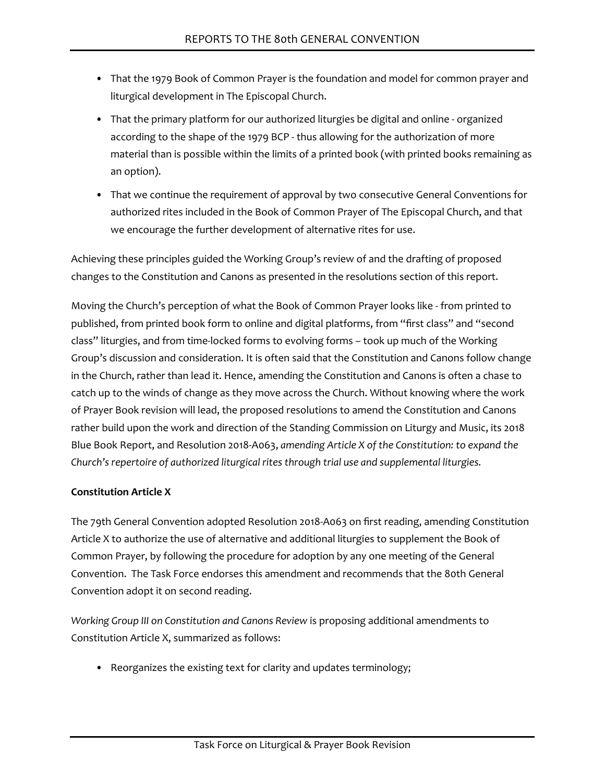- That the 1979 Book of Common Prayer is the foundation and model for common prayer and liturgical development in The Episcopal Church.
- That the primary platform for our authorized liturgies be digital and online organized according to the shape of the 1979 BCP - thus allowing for the authorization of more material than is possible within the limits of a printed book (with printed books remaining as an option).
- That we continue the requirement of approval by two consecutive General Conventions for authorized rites included in the Book of Common Prayer of The Episcopal Church, and that we encourage the further development of alternative rites for use.

Achieving these principles guided the Working Group's review of and the drafting of proposed changes to the Constitution and Canons as presented in the resolutions section of this report.

Moving the Church's perception of what the Book of Common Prayer looks like - from printed to published, from printed book form to online and digital platforms, from "first class" and "second class" liturgies, and from time-locked forms to evolving forms – took up much of the Working Group's discussion and consideration. It is often said that the Constitution and Canons follow change in the Church, rather than lead it. Hence, amending the Constitution and Canons is often a chase to catch up to the winds of change as they move across the Church. Without knowing where the work of Prayer Book revision will lead, the proposed resolutions to amend the Constitution and Canons rather build upon the work and direction of the Standing Commission on Liturgy and Music, its 2018 Blue Book Report, and Resolution 2018-A063, *amending Article X of the Constitution: to expand the Church's repertoire of authorized liturgical rites through trial use and supplemental liturgies.*

# **Constitution Article X**

The 79th General Convention adopted Resolution 2018-A063 on first reading, amending Constitution Article X to authorize the use of alternative and additional liturgies to supplement the Book of Common Prayer, by following the procedure for adoption by any one meeting of the General Convention. The Task Force endorses this amendment and recommends that the 80th General Convention adopt it on second reading.

*Working Group III on Constitution and Canons Review* is proposing additional amendments to Constitution Article X, summarized as follows:

• Reorganizes the existing text for clarity and updates terminology;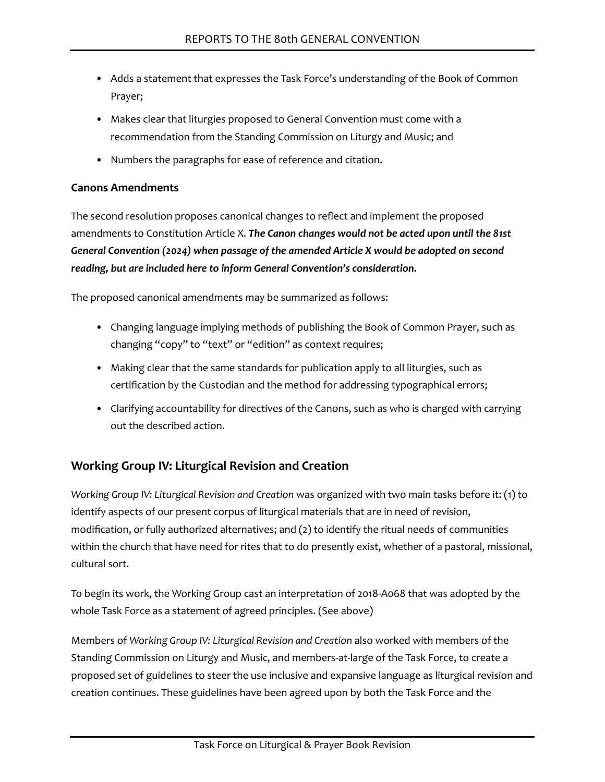- Adds a statement that expresses the Task Force's understanding of the Book of Common Prayer;
- Makes clear that liturgies proposed to General Convention must come with a recommendation from the Standing Commission on Liturgy and Music; and
- Numbers the paragraphs for ease of reference and citation.

### **Canons Amendments**

The second resolution proposes canonical changes to reflect and implement the proposed amendments to Constitution Article X. *The Canon changes would not be acted upon until the 81st General Convention (2024) when passage of the amended Article X would be adopted on second reading, but are included here to inform General Convention's consideration.*

The proposed canonical amendments may be summarized as follows:

- Changing language implying methods of publishing the Book of Common Prayer, such as changing "copy" to "text" or "edition" as context requires;
- Making clear that the same standards for publication apply to all liturgies, such as certification by the Custodian and the method for addressing typographical errors;
- Clarifying accountability for directives of the Canons, such as who is charged with carrying out the described action.

# **Working Group IV: Liturgical Revision and Creation**

*Working Group IV: Liturgical Revision and Creation* was organized with two main tasks before it: (1) to identify aspects of our present corpus of liturgical materials that are in need of revision, modification, or fully authorized alternatives; and (2) to identify the ritual needs of communities within the church that have need for rites that to do presently exist, whether of a pastoral, missional, cultural sort.

To begin its work, the Working Group cast an interpretation of 2018-A068 that was adopted by the whole Task Force as a statement of agreed principles. (See above)

Members of *Working Group IV: Liturgical Revision and Creation* also worked with members of the Standing Commission on Liturgy and Music, and members-at-large of the Task Force, to create a proposed set of guidelines to steer the use inclusive and expansive language as liturgical revision and creation continues. These guidelines have been agreed upon by both the Task Force and the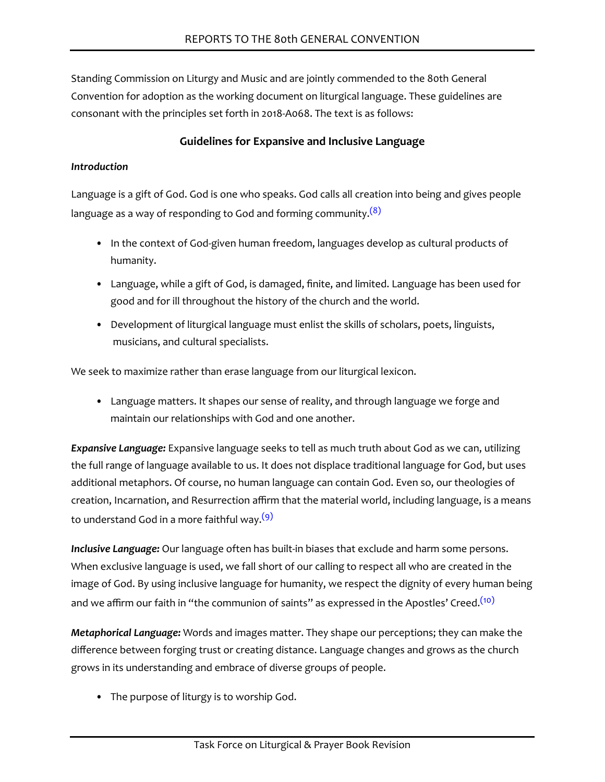Standing Commission on Liturgy and Music and are jointly commended to the 80th General Convention for adoption as the working document on liturgical language. These guidelines are consonant with the principles set forth in 2018-A068. The text is as follows:

# **Guidelines for Expansive and Inclusive Language**

#### *Introduction*

<span id="page-20-0"></span>Language is a gift of God. God is one who speaks. God calls all creation into being and gives people language as a way of responding to God and forming community.<sup>[\(8\)](#page-24-7)</sup>

- In the context of God-given human freedom, languages develop as cultural products of humanity.
- Language, while a gift of God, is damaged, finite, and limited. Language has been used for good and for ill throughout the history of the church and the world.
- Development of liturgical language must enlist the skills of scholars, poets, linguists, musicians, and cultural specialists.

We seek to maximize rather than erase language from our liturgical lexicon.

• Language matters. It shapes our sense of reality, and through language we forge and maintain our relationships with God and one another.

*Expansive Language:* Expansive language seeks to tell as much truth about God as we can, utilizing the full range of language available to us. It does not displace traditional language for God, but uses additional metaphors. Of course, no human language can contain God. Even so, our theologies of creation, Incarnation, and Resurrection affirm that the material world, including language, is a means to understand God in a more faithful way.<sup>[\(9\)](#page-24-8)</sup>

<span id="page-20-1"></span>*Inclusive Language:* Our language often has built-in biases that exclude and harm some persons. When exclusive language is used, we fall short of our calling to respect all who are created in the image of God. By using inclusive language for humanity, we respect the dignity of every human being and we affirm our faith in "the communion of saints" as expressed in the Apostles' Creed.<sup>[\(10\)](#page-24-9)</sup>

<span id="page-20-2"></span>*Metaphorical Language:* Words and images matter. They shape our perceptions; they can make the difference between forging trust or creating distance. Language changes and grows as the church grows in its understanding and embrace of diverse groups of people.

• The purpose of liturgy is to worship God.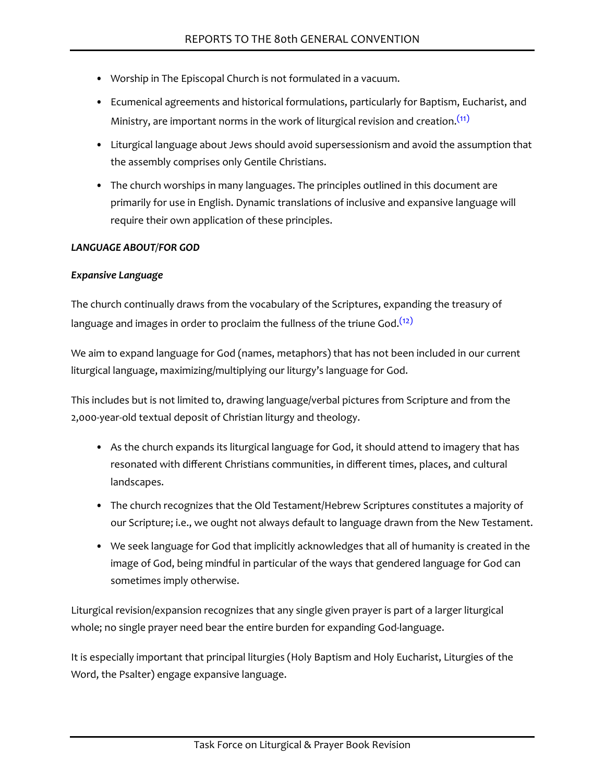- Worship in The Episcopal Church is not formulated in a vacuum.
- Ecumenical agreements and historical formulations, particularly for Baptism, Eucharist, and Ministry, are important norms in the work of liturgical revision and creation.<sup>[\(11\)](#page-24-10)</sup>
- <span id="page-21-0"></span>• Liturgical language about Jews should avoid supersessionism and avoid the assumption that the assembly comprises only Gentile Christians.
- The church worships in many languages. The principles outlined in this document are primarily for use in English. Dynamic translations of inclusive and expansive language will require their own application of these principles.

#### *LANGUAGE ABOUT/FOR GOD*

#### *Expansive Language*

<span id="page-21-1"></span>The church continually draws from the vocabulary of the Scriptures, expanding the treasury of language and images in order to proclaim the fullness of the triune God.<sup>[\(12\)](#page-24-11)</sup>

We aim to expand language for God (names, metaphors) that has not been included in our current liturgical language, maximizing/multiplying our liturgy's language for God.

This includes but is not limited to, drawing language/verbal pictures from Scripture and from the 2,000-year-old textual deposit of Christian liturgy and theology.

- As the church expands its liturgical language for God, it should attend to imagery that has resonated with different Christians communities, in different times, places, and cultural landscapes.
- The church recognizes that the Old Testament/Hebrew Scriptures constitutes a majority of our Scripture; i.e., we ought not always default to language drawn from the New Testament.
- We seek language for God that implicitly acknowledges that all of humanity is created in the image of God, being mindful in particular of the ways that gendered language for God can sometimes imply otherwise.

Liturgical revision/expansion recognizes that any single given prayer is part of a larger liturgical whole; no single prayer need bear the entire burden for expanding God-language.

It is especially important that principal liturgies (Holy Baptism and Holy Eucharist, Liturgies of the Word, the Psalter) engage expansive language.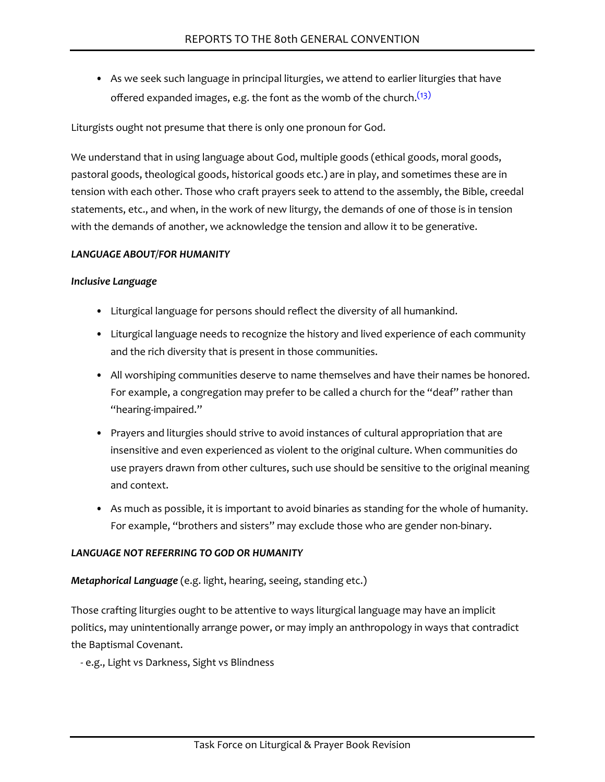• As we seek such language in principal liturgies, we attend to earlier liturgies that have offered expanded images, e.g. the font as the womb of the church. $(13)$ 

<span id="page-22-0"></span>Liturgists ought not presume that there is only one pronoun for God.

We understand that in using language about God, multiple goods (ethical goods, moral goods, pastoral goods, theological goods, historical goods etc.) are in play, and sometimes these are in tension with each other. Those who craft prayers seek to attend to the assembly, the Bible, creedal statements, etc., and when, in the work of new liturgy, the demands of one of those is in tension with the demands of another, we acknowledge the tension and allow it to be generative.

#### *LANGUAGE ABOUT/FOR HUMANITY*

#### *Inclusive Language*

- Liturgical language for persons should reflect the diversity of all humankind.
- Liturgical language needs to recognize the history and lived experience of each community and the rich diversity that is present in those communities.
- All worshiping communities deserve to name themselves and have their names be honored. For example, a congregation may prefer to be called a church for the "deaf" rather than "hearing-impaired."
- Prayers and liturgies should strive to avoid instances of cultural appropriation that are insensitive and even experienced as violent to the original culture. When communities do use prayers drawn from other cultures, such use should be sensitive to the original meaning and context.
- As much as possible, it is important to avoid binaries as standing for the whole of humanity. For example, "brothers and sisters" may exclude those who are gender non-binary.

#### *LANGUAGE NOT REFERRING TO GOD OR HUMANITY*

#### *Metaphorical Language* (e.g. light, hearing, seeing, standing etc.)

Those crafting liturgies ought to be attentive to ways liturgical language may have an implicit politics, may unintentionally arrange power, or may imply an anthropology in ways that contradict the Baptismal Covenant.

- e.g., Light vs Darkness, Sight vs Blindness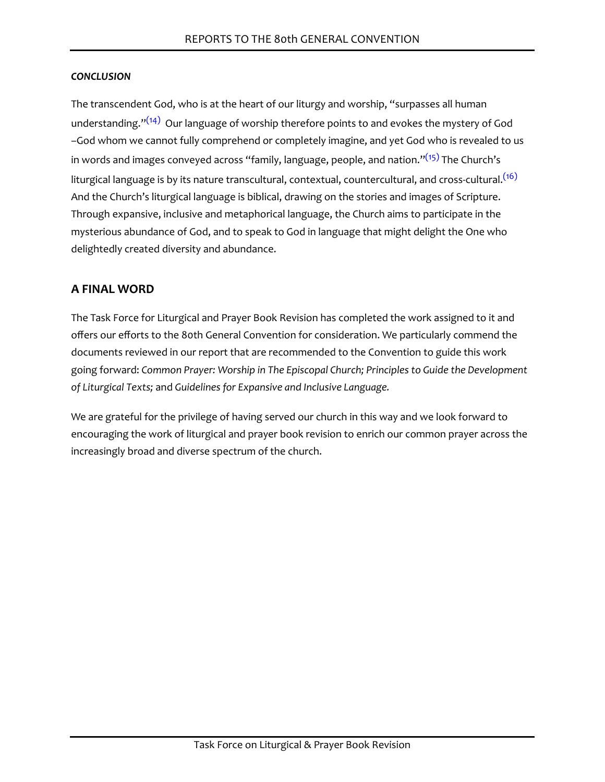#### *CONCLUSION*

<span id="page-23-2"></span><span id="page-23-1"></span><span id="page-23-0"></span>The transcendent God, who is at the heart of our liturgy and worship, "surpasses all human understanding." $(14)$  Our language of worship therefore points to and evokes the mystery of God –God whom we cannot fully comprehend or completely imagine, and yet God who is revealed to us in words and images conveyed across "family, language, people, and nation." $(15)$  The Church's liturgical language is by its nature transcultural, contextual, countercultural, and cross-cultural.<sup>[\(16\)](#page-24-15)</sup> And the Church's liturgical language is biblical, drawing on the stories and images of Scripture. Through expansive, inclusive and metaphorical language, the Church aims to participate in the mysterious abundance of God, and to speak to God in language that might delight the One who delightedly created diversity and abundance.

# **A FINAL WORD**

The Task Force for Liturgical and Prayer Book Revision has completed the work assigned to it and offers our efforts to the 80th General Convention for consideration. We particularly commend the documents reviewed in our report that are recommended to the Convention to guide this work going forward: *Common Prayer: Worship in The Episcopal Church; Principles to Guide the Development of Liturgical Texts;* and *Guidelines for Expansive and Inclusive Language.*

We are grateful for the privilege of having served our church in this way and we look forward to encouraging the work of liturgical and prayer book revision to enrich our common prayer across the increasingly broad and diverse spectrum of the church.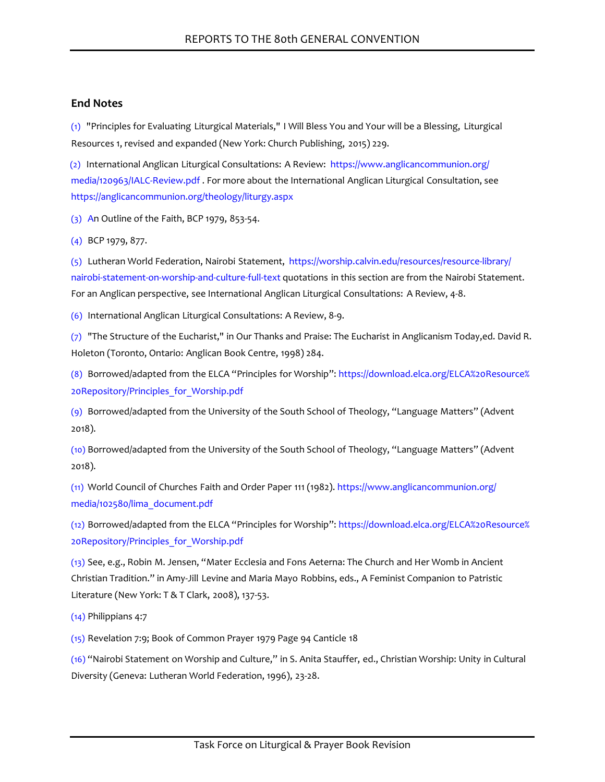#### **End Notes**

<span id="page-24-0"></span>[\(1\)](#page-6-0) "Principles for Evaluating Liturgical Materials," I Will Bless You and Your will be a Blessing, Liturgical Resources 1, revised and expanded (New York: Church Publishing, 2015) 229.

<span id="page-24-1"></span>[\(2\)](#page-6-1) International Anglican Liturgical Consultations: A Review: [https://www.anglicancommunion.org/](https://www.anglicancommunion.org/media/120963/IALC-Review.pdf) [media/120963/IALC-Review.pdf](https://www.anglicancommunion.org/media/120963/IALC-Review.pdf) . For more about the International Anglican Liturgical Consultation, see <https://anglicancommunion.org/theology/liturgy.aspx>

<span id="page-24-2"></span>[\(3\)](#page-6-2) An Outline of the Faith, BCP 1979, 853-54.

<span id="page-24-3"></span>[\(4\)](#page-7-0) BCP 1979, 877.

<span id="page-24-4"></span>[\(5\)](#page-8-0) Lutheran World Federation, Nairobi Statement, [https://worship.calvin.edu/resources/resource-library/](https://worship.calvin.edu/resources/resource-library/nairobi-statement-on-worship-and-culture-full-text) [nairobi-statement-on-worship-and-culture-full-text](https://worship.calvin.edu/resources/resource-library/nairobi-statement-on-worship-and-culture-full-text) quotations in this section are from the Nairobi Statement. For an Anglican perspective, see International Anglican Liturgical Consultations: A Review, 4-8.

<span id="page-24-5"></span>[\(6\)](#page-9-0) International Anglican Liturgical Consultations: A Review, 8-9.

<span id="page-24-6"></span>[\(7\)](#page-9-1) "The Structure of the Eucharist," in Our Thanks and Praise: The Eucharist in Anglicanism Today,ed. David R. Holeton (Toronto, Ontario: Anglican Book Centre, 1998) 284.

<span id="page-24-7"></span>[\(8\)](#page-20-0) Borrowed/adapted from the ELCA "Principles for Worship": [https://download.elca.org/ELCA%20Resource%](https://download.elca.org/ELCA%20Resource%20Repository/Principles_for_Worship.pdf) [20Repository/Principles\\_for\\_Worship.pdf](https://download.elca.org/ELCA%20Resource%20Repository/Principles_for_Worship.pdf)

<span id="page-24-8"></span>[\(9\)](#page-20-1) Borrowed/adapted from the University of the South School of Theology, "Language Matters" (Advent 2018).

<span id="page-24-9"></span>[\(10\)](#page-20-2) Borrowed/adapted from the University of the South School of Theology, "Language Matters" (Advent 2018).

<span id="page-24-10"></span>[\(11\)](#page-21-0) World Council of Churches Faith and Order Paper 111 (1982). [https://www.anglicancommunion.org/](https://www.anglicancommunion.org/media/102580/lima_document.pdf) [media/102580/lima\\_document.pdf](https://www.anglicancommunion.org/media/102580/lima_document.pdf)

<span id="page-24-11"></span>[\(12\)](#page-21-1) Borrowed/adapted from the ELCA "Principles for Worship": [https://download.elca.org/ELCA%20Resource%](https://download.elca.org/ELCA%20Resource%20Repository/Principles_for_Worship.pdf) [20Repository/Principles\\_for\\_Worship.pdf](https://download.elca.org/ELCA%20Resource%20Repository/Principles_for_Worship.pdf)

<span id="page-24-12"></span>[\(13\)](#page-22-0) See, e.g., Robin M. Jensen, "Mater Ecclesia and Fons Aeterna: The Church and Her Womb in Ancient Christian Tradition." in Amy-Jill Levine and Maria Mayo Robbins, eds., A Feminist Companion to Patristic Literature (New York: T & T Clark, 2008), 137-53.

<span id="page-24-13"></span>[\(14\)](#page-23-0) Philippians 4:7

<span id="page-24-14"></span>[\(15\)](#page-23-1) Revelation 7:9; Book of Common Prayer 1979 Page 94 Canticle 18

<span id="page-24-15"></span>[\(16\)](#page-23-2) "Nairobi Statement on Worship and Culture," in S. Anita Stauffer, ed., Christian Worship: Unity in Cultural Diversity (Geneva: Lutheran World Federation, 1996), 23-28.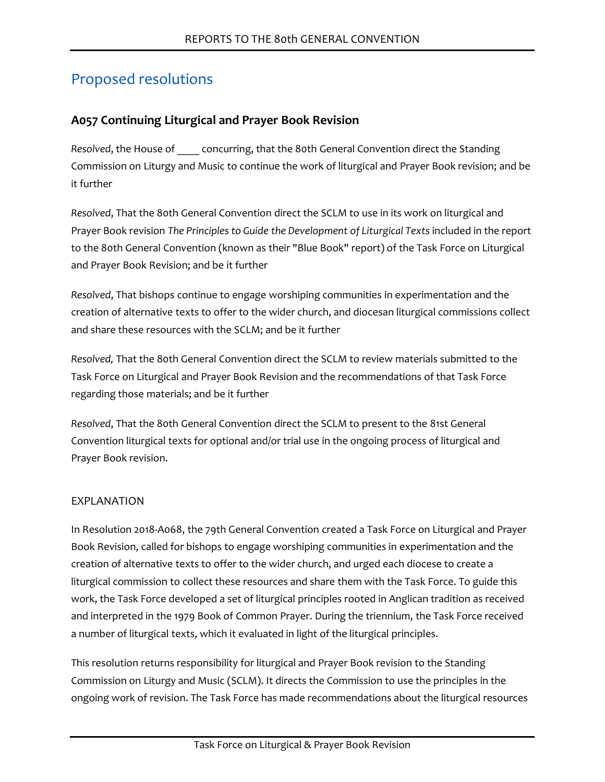# Proposed resolutions

# **A057 Continuing Liturgical and Prayer Book Revision**

*Resolved*, the House of \_\_\_\_ concurring, that the 80th General Convention direct the Standing Commission on Liturgy and Music to continue the work of liturgical and Prayer Book revision; and be it further

*Resolved*, That the 80th General Convention direct the SCLM to use in its work on liturgical and Prayer Book revision *The Principles to Guide the Development of Liturgical Texts* included in the report to the 80th General Convention (known as their "Blue Book" report) of the Task Force on Liturgical and Prayer Book Revision; and be it further

*Resolved*, That bishops continue to engage worshiping communities in experimentation and the creation of alternative texts to offer to the wider church, and diocesan liturgical commissions collect and share these resources with the SCLM; and be it further

*Resolved,* That the 80th General Convention direct the SCLM to review materials submitted to the Task Force on Liturgical and Prayer Book Revision and the recommendations of that Task Force regarding those materials; and be it further

*Resolved*, That the 80th General Convention direct the SCLM to present to the 81st General Convention liturgical texts for optional and/or trial use in the ongoing process of liturgical and Prayer Book revision.

# EXPLANATION

In Resolution 2018-A068, the 79th General Convention created a Task Force on Liturgical and Prayer Book Revision, called for bishops to engage worshiping communities in experimentation and the creation of alternative texts to offer to the wider church, and urged each diocese to create a liturgical commission to collect these resources and share them with the Task Force. To guide this work, the Task Force developed a set of liturgical principles rooted in Anglican tradition as received and interpreted in the 1979 Book of Common Prayer. During the triennium, the Task Force received a number of liturgical texts, which it evaluated in light of the liturgical principles.

This resolution returns responsibility for liturgical and Prayer Book revision to the Standing Commission on Liturgy and Music (SCLM). It directs the Commission to use the principles in the ongoing work of revision. The Task Force has made recommendations about the liturgical resources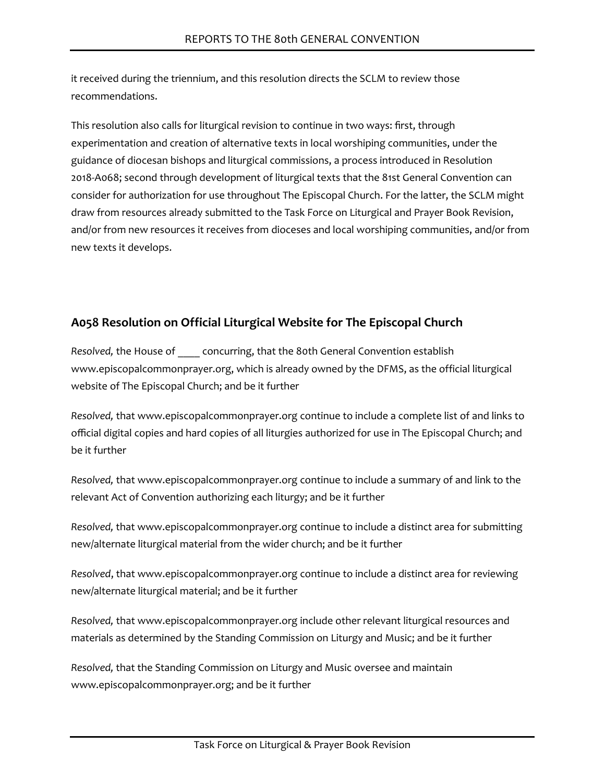it received during the triennium, and this resolution directs the SCLM to review those recommendations.

This resolution also calls for liturgical revision to continue in two ways: first, through experimentation and creation of alternative texts in local worshiping communities, under the guidance of diocesan bishops and liturgical commissions, a process introduced in Resolution 2018-A068; second through development of liturgical texts that the 81st General Convention can consider for authorization for use throughout The Episcopal Church. For the latter, the SCLM might draw from resources already submitted to the Task Force on Liturgical and Prayer Book Revision, and/or from new resources it receives from dioceses and local worshiping communities, and/or from new texts it develops.

# **A058 Resolution on Official Liturgical Website for The Episcopal Church**

*Resolved,* the House of \_\_\_\_ concurring, that the 80th General Convention establish www.episcopalcommonprayer.org, which is already owned by the DFMS, as the official liturgical website of The Episcopal Church; and be it further

*Resolved,* that www.episcopalcommonprayer.org continue to include a complete list of and links to official digital copies and hard copies of all liturgies authorized for use in The Episcopal Church; and be it further

*Resolved,* that www.episcopalcommonprayer.org continue to include a summary of and link to the relevant Act of Convention authorizing each liturgy; and be it further

*Resolved,* that www.episcopalcommonprayer.org continue to include a distinct area for submitting new/alternate liturgical material from the wider church; and be it further

*Resolved*, that www.episcopalcommonprayer.org continue to include a distinct area for reviewing new/alternate liturgical material; and be it further

*Resolved,* that www.episcopalcommonprayer.org include other relevant liturgical resources and materials as determined by the Standing Commission on Liturgy and Music; and be it further

*Resolved,* that the Standing Commission on Liturgy and Music oversee and maintain www.episcopalcommonprayer.org; and be it further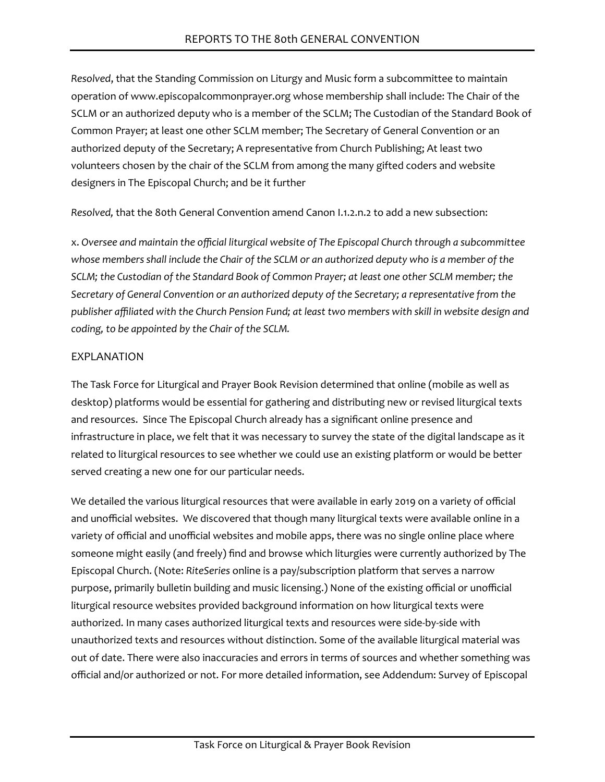*Resolved*, that the Standing Commission on Liturgy and Music form a subcommittee to maintain operation of www.episcopalcommonprayer.org whose membership shall include: The Chair of the SCLM or an authorized deputy who is a member of the SCLM; The Custodian of the Standard Book of Common Prayer; at least one other SCLM member; The Secretary of General Convention or an authorized deputy of the Secretary; A representative from Church Publishing; At least two volunteers chosen by the chair of the SCLM from among the many gifted coders and website designers in The Episcopal Church; and be it further

*Resolved,* that the 80th General Convention amend Canon I.1.2.n.2 to add a new subsection:

x. *Oversee and maintain the official liturgical website of The Episcopal Church through a subcommittee whose members shall include the Chair of the SCLM or an authorized deputy who is a member of the SCLM; the Custodian of the Standard Book of Common Prayer; at least one other SCLM member; the Secretary of General Convention or an authorized deputy of the Secretary; a representative from the publisher affiliated with the Church Pension Fund; at least two members with skill in website design and coding, to be appointed by the Chair of the SCLM.*

#### EXPLANATION

The Task Force for Liturgical and Prayer Book Revision determined that online (mobile as well as desktop) platforms would be essential for gathering and distributing new or revised liturgical texts and resources. Since The Episcopal Church already has a significant online presence and infrastructure in place, we felt that it was necessary to survey the state of the digital landscape as it related to liturgical resources to see whether we could use an existing platform or would be better served creating a new one for our particular needs.

We detailed the various liturgical resources that were available in early 2019 on a variety of official and unofficial websites. We discovered that though many liturgical texts were available online in a variety of official and unofficial websites and mobile apps, there was no single online place where someone might easily (and freely) find and browse which liturgies were currently authorized by The Episcopal Church. (Note: *RiteSeries* online is a pay/subscription platform that serves a narrow purpose, primarily bulletin building and music licensing.) None of the existing official or unofficial liturgical resource websites provided background information on how liturgical texts were authorized. In many cases authorized liturgical texts and resources were side-by-side with unauthorized texts and resources without distinction. Some of the available liturgical material was out of date. There were also inaccuracies and errors in terms of sources and whether something was official and/or authorized or not. For more detailed information, see Addendum: Survey of Episcopal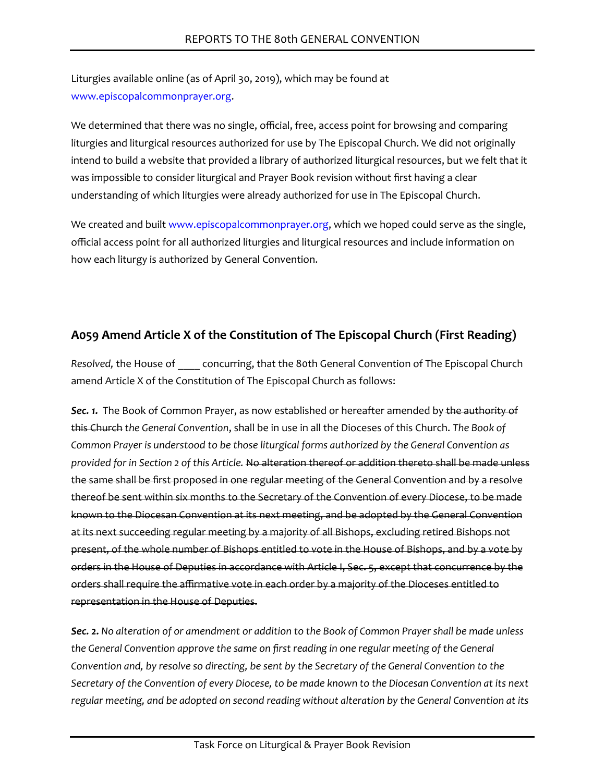Liturgies available online (as of April 30, 2019), which may be found at [www.episcopalcommonprayer.org](https://www.episcopalcommonprayer.org/).

We determined that there was no single, official, free, access point for browsing and comparing liturgies and liturgical resources authorized for use by The Episcopal Church. We did not originally intend to build a website that provided a library of authorized liturgical resources, but we felt that it was impossible to consider liturgical and Prayer Book revision without first having a clear understanding of which liturgies were already authorized for use in The Episcopal Church.

We created and built [www.episcopalcommonprayer.org,](https://www.episcopalcommonprayer.org/) which we hoped could serve as the single, official access point for all authorized liturgies and liturgical resources and include information on how each liturgy is authorized by General Convention.

# **A059 Amend Article X of the Constitution of The Episcopal Church (First Reading)**

*Resolved,* the House of \_\_\_\_ concurring, that the 80th General Convention of The Episcopal Church amend Article X of the Constitution of The Episcopal Church as follows:

*Sec. 1.* The Book of Common Prayer, as now established or hereafter amended by the authority of this Church *the General Convention*, shall be in use in all the Dioceses of this Church. *The Book of Common Prayer is understood to be those liturgical forms authorized by the General Convention as provided for in Section 2 of this Article.* No alteration thereof or addition thereto shall be made unless the same shall be first proposed in one regular meeting of the General Convention and by a resolve thereof be sent within six months to the Secretary of the Convention of every Diocese, to be made known to the Diocesan Convention at its next meeting, and be adopted by the General Convention at its next succeeding regular meeting by a majority of all Bishops, excluding retired Bishops not present, of the whole number of Bishops entitled to vote in the House of Bishops, and by a vote by orders in the House of Deputies in accordance with Article I, Sec. 5, except that concurrence by the orders shall require the affirmative vote in each order by a majority of the Dioceses entitled to representation in the House of Deputies.

*Sec. 2. No alteration of or amendment or addition to the Book of Common Prayer shall be made unless the General Convention approve the same on first reading in one regular meeting of the General Convention and, by resolve so directing, be sent by the Secretary of the General Convention to the Secretary of the Convention of every Diocese, to be made known to the Diocesan Convention at its next regular meeting, and be adopted on second reading without alteration by the General Convention at its*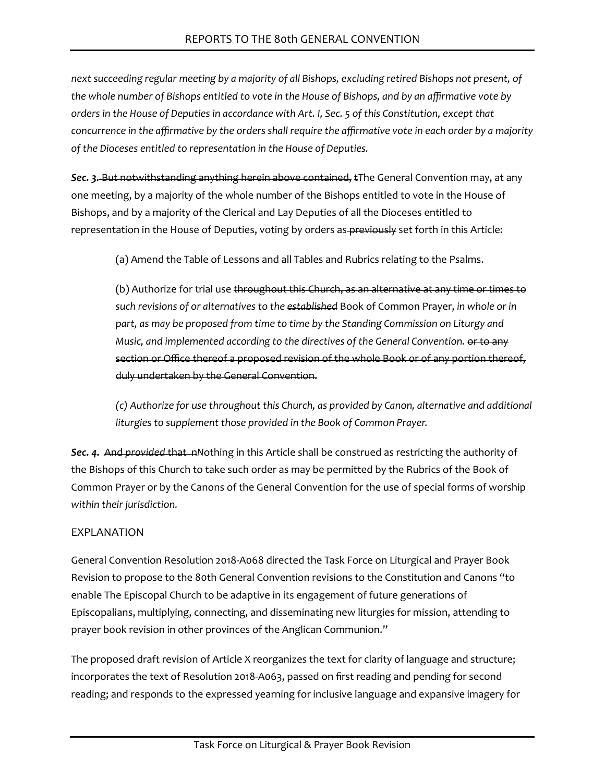*next succeeding regular meeting by a majority of all Bishops, excluding retired Bishops not present, of the whole number of Bishops entitled to vote in the House of Bishops, and by an affirmative vote by orders in the House of Deputies in accordance with Art. I, Sec. 5 of this Constitution, except that concurrence in the affirmative by the orders shall require the affirmative vote in each order by a majority of the Dioceses entitled to representation in the House of Deputies.*

*Sec. 3.* But notwithstanding anything herein above contained, t*T*he General Convention may, at any one meeting, by a majority of the whole number of the Bishops entitled to vote in the House of Bishops, and by a majority of the Clerical and Lay Deputies of all the Dioceses entitled to representation in the House of Deputies, voting by orders as previously set forth in this Article:

(a) Amend the Table of Lessons and all Tables and Rubrics relating to the Psalms.

(b) Authorize for trial use throughout this Church, as an alternative at any time or times to *such revisions of or alternatives to the established* Book of Common Prayer, *in whole or in part, as may be proposed from time to time by the Standing Commission on Liturgy and Music, and implemented according to the directives of the General Convention.* or to any section or Office thereof a proposed revision of the whole Book or of any portion thereof, duly undertaken by the General Convention.

*(c) Authorize for use throughout this Church, as provided by Canon, alternative and additional liturgies to supplement those provided in the Book of Common Prayer.*

**Sec. 4.** And *provided* that *nNothing in this Article shall be construed as restricting the authority of* the Bishops of this Church to take such order as may be permitted by the Rubrics of the Book of Common Prayer or by the Canons of the General Convention for the use of special forms of worship *within their jurisdiction.*

# EXPLANATION

General Convention Resolution 2018-A068 directed the Task Force on Liturgical and Prayer Book Revision to propose to the 80th General Convention revisions to the Constitution and Canons "to enable The Episcopal Church to be adaptive in its engagement of future generations of Episcopalians, multiplying, connecting, and disseminating new liturgies for mission, attending to prayer book revision in other provinces of the Anglican Communion."

The proposed draft revision of Article X reorganizes the text for clarity of language and structure; incorporates the text of Resolution 2018-A063, passed on first reading and pending for second reading; and responds to the expressed yearning for inclusive language and expansive imagery for